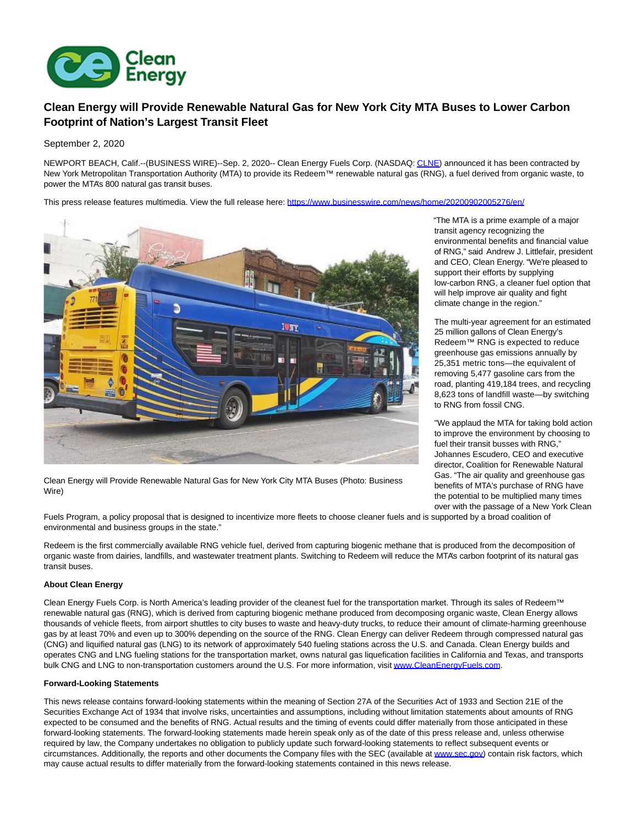

## **Clean Energy will Provide Renewable Natural Gas for New York City MTA Buses to Lower Carbon Footprint of Nation's Largest Transit Fleet**

September 2, 2020

NEWPORT BEACH, Calif.--(BUSINESS WIRE)--Sep. 2, 2020-- Clean Energy Fuels Corp. (NASDAQ[: CLNE\)](https://cts.businesswire.com/ct/CT?id=smartlink&url=https%3A%2F%2Fwww.nasdaq.com%2Fmarket-activity%2Fstocks%2Fclne&esheet=52277850&newsitemid=20200902005276&lan=en-US&anchor=CLNE&index=1&md5=62ec54d93dffd935bdcc9e7b0ad16681) announced it has been contracted by New York Metropolitan Transportation Authority (MTA) to provide its Redeem™ renewable natural gas (RNG), a fuel derived from organic waste, to power the MTA's 800 natural gas transit buses.

This press release features multimedia. View the full release here:<https://www.businesswire.com/news/home/20200902005276/en/>



Clean Energy will Provide Renewable Natural Gas for New York City MTA Buses (Photo: Business Wire)

"The MTA is a prime example of a major transit agency recognizing the environmental benefits and financial value of RNG," said Andrew J. Littlefair, president and CEO, Clean Energy. "We're pleased to support their efforts by supplying low-carbon RNG, a cleaner fuel option that will help improve air quality and fight climate change in the region."

The multi-year agreement for an estimated 25 million gallons of Clean Energy's Redeem™ RNG is expected to reduce greenhouse gas emissions annually by 25,351 metric tons—the equivalent of removing 5,477 gasoline cars from the road, planting 419,184 trees, and recycling 8,623 tons of landfill waste—by switching to RNG from fossil CNG.

"We applaud the MTA for taking bold action to improve the environment by choosing to fuel their transit busses with RNG," Johannes Escudero, CEO and executive director, Coalition for Renewable Natural Gas. "The air quality and greenhouse gas benefits of MTA's purchase of RNG have the potential to be multiplied many times over with the passage of a New York Clean

Fuels Program, a policy proposal that is designed to incentivize more fleets to choose cleaner fuels and is supported by a broad coalition of environmental and business groups in the state."

Redeem is the first commercially available RNG vehicle fuel, derived from capturing biogenic methane that is produced from the decomposition of organic waste from dairies, landfills, and wastewater treatment plants. Switching to Redeem will reduce the MTA's carbon footprint of its natural gas transit buses.

## **About Clean Energy**

Clean Energy Fuels Corp. is North America's leading provider of the cleanest fuel for the transportation market. Through its sales of Redeem™ renewable natural gas (RNG), which is derived from capturing biogenic methane produced from decomposing organic waste, Clean Energy allows thousands of vehicle fleets, from airport shuttles to city buses to waste and heavy-duty trucks, to reduce their amount of climate-harming greenhouse gas by at least 70% and even up to 300% depending on the source of the RNG. Clean Energy can deliver Redeem through compressed natural gas (CNG) and liquified natural gas (LNG) to its network of approximately 540 fueling stations across the U.S. and Canada. Clean Energy builds and operates CNG and LNG fueling stations for the transportation market, owns natural gas liquefication facilities in California and Texas, and transports bulk CNG and LNG to non-transportation customers around the U.S. For more information, visi[t www.CleanEnergyFuels.com.](https://cts.businesswire.com/ct/CT?id=smartlink&url=http%3A%2F%2Fwww.CleanEnergyFuels.com&esheet=52277850&newsitemid=20200902005276&lan=en-US&anchor=www.CleanEnergyFuels.com&index=2&md5=eb28413a819e17d32dd5871e11d2ad1d)

## **Forward-Looking Statements**

This news release contains forward-looking statements within the meaning of Section 27A of the Securities Act of 1933 and Section 21E of the Securities Exchange Act of 1934 that involve risks, uncertainties and assumptions, including without limitation statements about amounts of RNG expected to be consumed and the benefits of RNG. Actual results and the timing of events could differ materially from those anticipated in these forward-looking statements. The forward-looking statements made herein speak only as of the date of this press release and, unless otherwise required by law, the Company undertakes no obligation to publicly update such forward-looking statements to reflect subsequent events or circumstances. Additionally, the reports and other documents the Company files with the SEC (available at [www.sec.gov\)](https://cts.businesswire.com/ct/CT?id=smartlink&url=http%3A%2F%2Fwww.sec.gov%2F&esheet=52277850&newsitemid=20200902005276&lan=en-US&anchor=www.sec.gov&index=3&md5=ee245a25027b5c46273f9b7e8d02746a) contain risk factors, which may cause actual results to differ materially from the forward-looking statements contained in this news release.